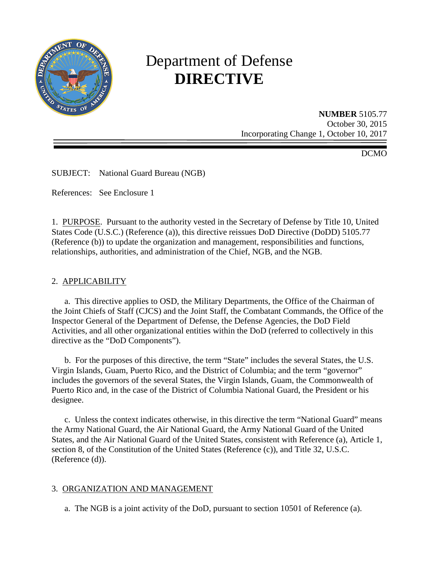

# Department of Defense **DIRECTIVE**

**NUMBER** 5105.77 October 30, 2015 Incorporating Change 1, October 10, 2017

DCMO

SUBJECT: National Guard Bureau (NGB)

References: See Enclosure 1

1. PURPOSE. Pursuant to the authority vested in the Secretary of Defense by Title 10, United States Code (U.S.C.) (Reference (a)), this directive reissues DoD Directive (DoDD) 5105.77 (Reference (b)) to update the organization and management, responsibilities and functions, relationships, authorities, and administration of the Chief, NGB, and the NGB.

#### 2. APPLICABILITY

a. This directive applies to OSD, the Military Departments, the Office of the Chairman of the Joint Chiefs of Staff (CJCS) and the Joint Staff, the Combatant Commands, the Office of the Inspector General of the Department of Defense, the Defense Agencies, the DoD Field Activities, and all other organizational entities within the DoD (referred to collectively in this directive as the "DoD Components").

 b. For the purposes of this directive, the term "State" includes the several States, the U.S. Virgin Islands, Guam, Puerto Rico, and the District of Columbia; and the term "governor" includes the governors of the several States, the Virgin Islands, Guam, the Commonwealth of Puerto Rico and, in the case of the District of Columbia National Guard, the President or his designee.

 c. Unless the context indicates otherwise, in this directive the term "National Guard" means the Army National Guard, the Air National Guard, the Army National Guard of the United States, and the Air National Guard of the United States, consistent with Reference (a), Article 1, section 8, of the Constitution of the United States (Reference (c)), and Title 32, U.S.C. (Reference (d)).

#### 3. ORGANIZATION AND MANAGEMENT

a. The NGB is a joint activity of the DoD, pursuant to section 10501 of Reference (a).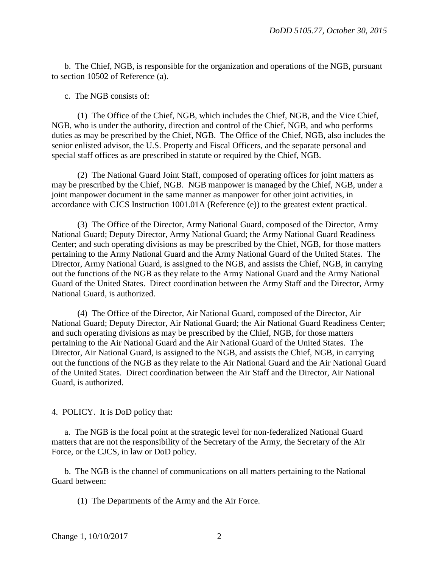b. The Chief, NGB, is responsible for the organization and operations of the NGB, pursuant to section 10502 of Reference (a).

c. The NGB consists of:

 (1) The Office of the Chief, NGB, which includes the Chief, NGB, and the Vice Chief, NGB, who is under the authority, direction and control of the Chief, NGB, and who performs duties as may be prescribed by the Chief, NGB. The Office of the Chief, NGB, also includes the senior enlisted advisor, the U.S. Property and Fiscal Officers, and the separate personal and special staff offices as are prescribed in statute or required by the Chief, NGB.

 (2) The National Guard Joint Staff, composed of operating offices for joint matters as may be prescribed by the Chief, NGB. NGB manpower is managed by the Chief, NGB, under a joint manpower document in the same manner as manpower for other joint activities, in accordance with CJCS Instruction 1001.01A (Reference (e)) to the greatest extent practical.

 (3) The Office of the Director, Army National Guard, composed of the Director, Army National Guard; Deputy Director, Army National Guard; the Army National Guard Readiness Center; and such operating divisions as may be prescribed by the Chief, NGB, for those matters pertaining to the Army National Guard and the Army National Guard of the United States. The Director, Army National Guard, is assigned to the NGB, and assists the Chief, NGB, in carrying out the functions of the NGB as they relate to the Army National Guard and the Army National Guard of the United States. Direct coordination between the Army Staff and the Director, Army National Guard, is authorized.

 (4) The Office of the Director, Air National Guard, composed of the Director, Air National Guard; Deputy Director, Air National Guard; the Air National Guard Readiness Center; and such operating divisions as may be prescribed by the Chief, NGB, for those matters pertaining to the Air National Guard and the Air National Guard of the United States. The Director, Air National Guard, is assigned to the NGB, and assists the Chief, NGB, in carrying out the functions of the NGB as they relate to the Air National Guard and the Air National Guard of the United States. Direct coordination between the Air Staff and the Director, Air National Guard, is authorized.

4. POLICY. It is DoD policy that:

 a. The NGB is the focal point at the strategic level for non-federalized National Guard matters that are not the responsibility of the Secretary of the Army, the Secretary of the Air Force, or the CJCS, in law or DoD policy.

 b. The NGB is the channel of communications on all matters pertaining to the National Guard between:

(1) The Departments of the Army and the Air Force.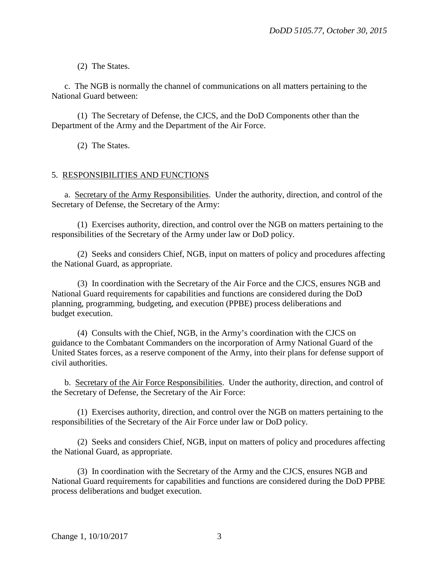(2) The States.

 c. The NGB is normally the channel of communications on all matters pertaining to the National Guard between:

 (1) The Secretary of Defense, the CJCS, and the DoD Components other than the Department of the Army and the Department of the Air Force.

(2) The States.

# 5. RESPONSIBILITIES AND FUNCTIONS

a. Secretary of the Army Responsibilities. Under the authority, direction, and control of the Secretary of Defense, the Secretary of the Army:

 (1) Exercises authority, direction, and control over the NGB on matters pertaining to the responsibilities of the Secretary of the Army under law or DoD policy.

 (2) Seeks and considers Chief, NGB, input on matters of policy and procedures affecting the National Guard, as appropriate.

 (3) In coordination with the Secretary of the Air Force and the CJCS, ensures NGB and National Guard requirements for capabilities and functions are considered during the DoD planning, programming, budgeting, and execution (PPBE) process deliberations and budget execution.

 (4) Consults with the Chief, NGB, in the Army's coordination with the CJCS on guidance to the Combatant Commanders on the incorporation of Army National Guard of the United States forces, as a reserve component of the Army, into their plans for defense support of civil authorities.

 b. Secretary of the Air Force Responsibilities. Under the authority, direction, and control of the Secretary of Defense, the Secretary of the Air Force:

 (1) Exercises authority, direction, and control over the NGB on matters pertaining to the responsibilities of the Secretary of the Air Force under law or DoD policy.

 (2) Seeks and considers Chief, NGB, input on matters of policy and procedures affecting the National Guard, as appropriate.

 (3) In coordination with the Secretary of the Army and the CJCS, ensures NGB and National Guard requirements for capabilities and functions are considered during the DoD PPBE process deliberations and budget execution.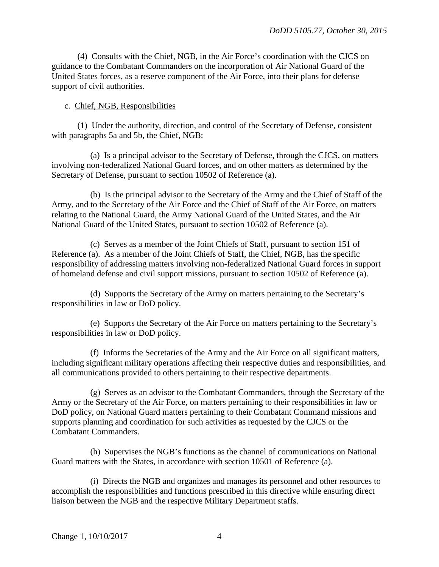(4) Consults with the Chief, NGB, in the Air Force's coordination with the CJCS on guidance to the Combatant Commanders on the incorporation of Air National Guard of the United States forces, as a reserve component of the Air Force, into their plans for defense support of civil authorities.

## c. Chief, NGB, Responsibilities

 (1) Under the authority, direction, and control of the Secretary of Defense, consistent with paragraphs 5a and 5b, the Chief, NGB:

 (a) Is a principal advisor to the Secretary of Defense, through the CJCS, on matters involving non-federalized National Guard forces, and on other matters as determined by the Secretary of Defense, pursuant to section 10502 of Reference (a).

 (b) Is the principal advisor to the Secretary of the Army and the Chief of Staff of the Army, and to the Secretary of the Air Force and the Chief of Staff of the Air Force, on matters relating to the National Guard, the Army National Guard of the United States, and the Air National Guard of the United States, pursuant to section 10502 of Reference (a).

 (c) Serves as a member of the Joint Chiefs of Staff, pursuant to section 151 of Reference (a). As a member of the Joint Chiefs of Staff, the Chief, NGB, has the specific responsibility of addressing matters involving non-federalized National Guard forces in support of homeland defense and civil support missions, pursuant to section 10502 of Reference (a).

 (d) Supports the Secretary of the Army on matters pertaining to the Secretary's responsibilities in law or DoD policy.

 (e) Supports the Secretary of the Air Force on matters pertaining to the Secretary's responsibilities in law or DoD policy.

 (f) Informs the Secretaries of the Army and the Air Force on all significant matters, including significant military operations affecting their respective duties and responsibilities, and all communications provided to others pertaining to their respective departments.

 (g) Serves as an advisor to the Combatant Commanders, through the Secretary of the Army or the Secretary of the Air Force, on matters pertaining to their responsibilities in law or DoD policy, on National Guard matters pertaining to their Combatant Command missions and supports planning and coordination for such activities as requested by the CJCS or the Combatant Commanders.

 (h) Supervises the NGB's functions as the channel of communications on National Guard matters with the States, in accordance with section 10501 of Reference (a).

 (i) Directs the NGB and organizes and manages its personnel and other resources to accomplish the responsibilities and functions prescribed in this directive while ensuring direct liaison between the NGB and the respective Military Department staffs.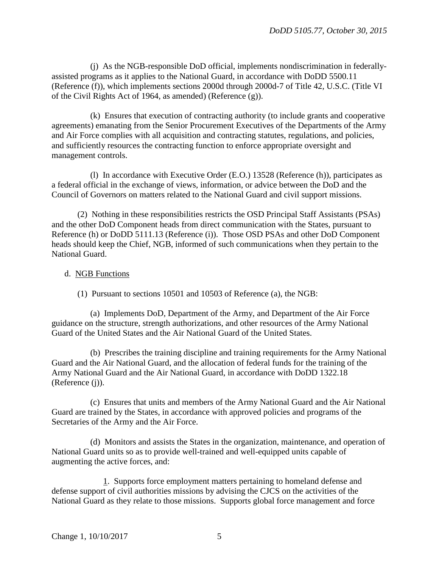(j) As the NGB-responsible DoD official, implements nondiscrimination in federallyassisted programs as it applies to the National Guard, in accordance with DoDD 5500.11 (Reference (f)), which implements sections 2000d through 2000d-7 of Title 42, U.S.C. (Title VI of the Civil Rights Act of 1964, as amended) (Reference (g)).

 (k) Ensures that execution of contracting authority (to include grants and cooperative agreements) emanating from the Senior Procurement Executives of the Departments of the Army and Air Force complies with all acquisition and contracting statutes, regulations, and policies, and sufficiently resources the contracting function to enforce appropriate oversight and management controls.

 (l) In accordance with Executive Order (E.O.) 13528 (Reference (h)), participates as a federal official in the exchange of views, information, or advice between the DoD and the Council of Governors on matters related to the National Guard and civil support missions.

 (2) Nothing in these responsibilities restricts the OSD Principal Staff Assistants (PSAs) and the other DoD Component heads from direct communication with the States, pursuant to Reference (h) or DoDD 5111.13 (Reference (i)). Those OSD PSAs and other DoD Component heads should keep the Chief, NGB, informed of such communications when they pertain to the National Guard.

# d. NGB Functions

(1) Pursuant to sections 10501 and 10503 of Reference (a), the NGB:

 (a) Implements DoD, Department of the Army, and Department of the Air Force guidance on the structure, strength authorizations, and other resources of the Army National Guard of the United States and the Air National Guard of the United States.

 (b) Prescribes the training discipline and training requirements for the Army National Guard and the Air National Guard, and the allocation of federal funds for the training of the Army National Guard and the Air National Guard, in accordance with DoDD 1322.18 (Reference (j)).

 (c) Ensures that units and members of the Army National Guard and the Air National Guard are trained by the States, in accordance with approved policies and programs of the Secretaries of the Army and the Air Force.

 (d) Monitors and assists the States in the organization, maintenance, and operation of National Guard units so as to provide well-trained and well-equipped units capable of augmenting the active forces, and:

 1. Supports force employment matters pertaining to homeland defense and defense support of civil authorities missions by advising the CJCS on the activities of the National Guard as they relate to those missions. Supports global force management and force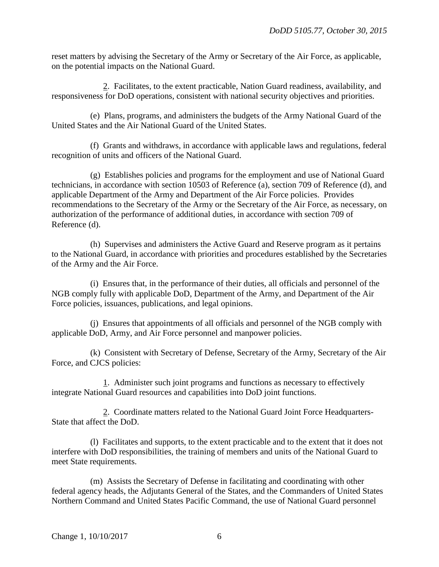reset matters by advising the Secretary of the Army or Secretary of the Air Force, as applicable, on the potential impacts on the National Guard.

 2. Facilitates, to the extent practicable, Nation Guard readiness, availability, and responsiveness for DoD operations, consistent with national security objectives and priorities.

 (e) Plans, programs, and administers the budgets of the Army National Guard of the United States and the Air National Guard of the United States.

 (f) Grants and withdraws, in accordance with applicable laws and regulations, federal recognition of units and officers of the National Guard.

 (g) Establishes policies and programs for the employment and use of National Guard technicians, in accordance with section 10503 of Reference (a), section 709 of Reference (d), and applicable Department of the Army and Department of the Air Force policies. Provides recommendations to the Secretary of the Army or the Secretary of the Air Force, as necessary, on authorization of the performance of additional duties, in accordance with section 709 of Reference (d).

 (h) Supervises and administers the Active Guard and Reserve program as it pertains to the National Guard, in accordance with priorities and procedures established by the Secretaries of the Army and the Air Force.

 (i) Ensures that, in the performance of their duties, all officials and personnel of the NGB comply fully with applicable DoD, Department of the Army, and Department of the Air Force policies, issuances, publications, and legal opinions.

 (j) Ensures that appointments of all officials and personnel of the NGB comply with applicable DoD, Army, and Air Force personnel and manpower policies.

 (k) Consistent with Secretary of Defense, Secretary of the Army, Secretary of the Air Force, and CJCS policies:

 1. Administer such joint programs and functions as necessary to effectively integrate National Guard resources and capabilities into DoD joint functions.

 2. Coordinate matters related to the National Guard Joint Force Headquarters-State that affect the DoD.

 (l) Facilitates and supports, to the extent practicable and to the extent that it does not interfere with DoD responsibilities, the training of members and units of the National Guard to meet State requirements.

 (m) Assists the Secretary of Defense in facilitating and coordinating with other federal agency heads, the Adjutants General of the States, and the Commanders of United States Northern Command and United States Pacific Command, the use of National Guard personnel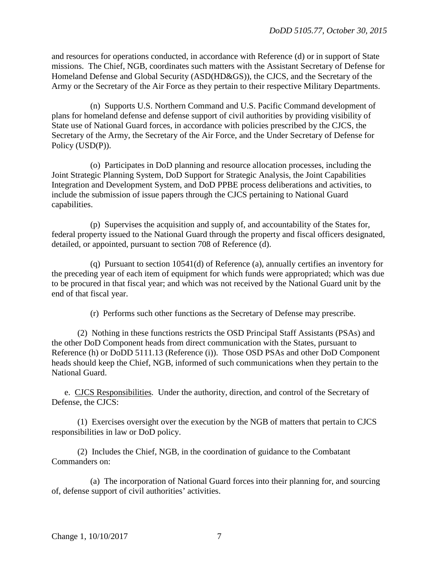and resources for operations conducted, in accordance with Reference (d) or in support of State missions. The Chief, NGB, coordinates such matters with the Assistant Secretary of Defense for Homeland Defense and Global Security (ASD(HD&GS)), the CJCS, and the Secretary of the Army or the Secretary of the Air Force as they pertain to their respective Military Departments.

 (n) Supports U.S. Northern Command and U.S. Pacific Command development of plans for homeland defense and defense support of civil authorities by providing visibility of State use of National Guard forces, in accordance with policies prescribed by the CJCS, the Secretary of the Army, the Secretary of the Air Force, and the Under Secretary of Defense for Policy (USD(P)).

 (o) Participates in DoD planning and resource allocation processes, including the Joint Strategic Planning System, DoD Support for Strategic Analysis, the Joint Capabilities Integration and Development System, and DoD PPBE process deliberations and activities, to include the submission of issue papers through the CJCS pertaining to National Guard capabilities.

 (p) Supervises the acquisition and supply of, and accountability of the States for, federal property issued to the National Guard through the property and fiscal officers designated, detailed, or appointed, pursuant to section 708 of Reference (d).

 (q) Pursuant to section 10541(d) of Reference (a), annually certifies an inventory for the preceding year of each item of equipment for which funds were appropriated; which was due to be procured in that fiscal year; and which was not received by the National Guard unit by the end of that fiscal year.

(r) Performs such other functions as the Secretary of Defense may prescribe.

 (2) Nothing in these functions restricts the OSD Principal Staff Assistants (PSAs) and the other DoD Component heads from direct communication with the States, pursuant to Reference (h) or DoDD 5111.13 (Reference (i)). Those OSD PSAs and other DoD Component heads should keep the Chief, NGB, informed of such communications when they pertain to the National Guard.

 e. CJCS Responsibilities. Under the authority, direction, and control of the Secretary of Defense, the CJCS:

 (1) Exercises oversight over the execution by the NGB of matters that pertain to CJCS responsibilities in law or DoD policy.

 (2) Includes the Chief, NGB, in the coordination of guidance to the Combatant Commanders on:

 (a) The incorporation of National Guard forces into their planning for, and sourcing of, defense support of civil authorities' activities.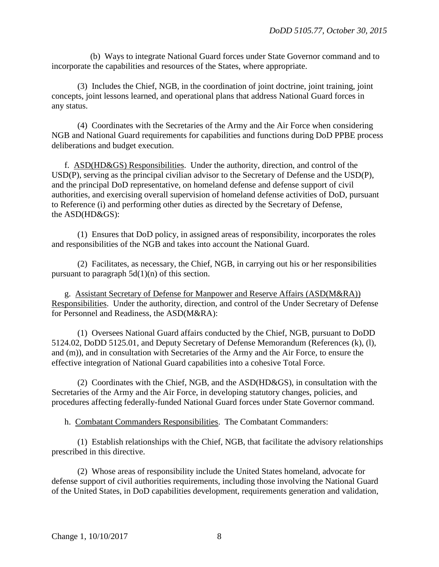(b) Ways to integrate National Guard forces under State Governor command and to incorporate the capabilities and resources of the States, where appropriate.

 (3) Includes the Chief, NGB, in the coordination of joint doctrine, joint training, joint concepts, joint lessons learned, and operational plans that address National Guard forces in any status.

 (4) Coordinates with the Secretaries of the Army and the Air Force when considering NGB and National Guard requirements for capabilities and functions during DoD PPBE process deliberations and budget execution.

 f. ASD(HD&GS) Responsibilities. Under the authority, direction, and control of the USD(P), serving as the principal civilian advisor to the Secretary of Defense and the USD(P), and the principal DoD representative, on homeland defense and defense support of civil authorities, and exercising overall supervision of homeland defense activities of DoD, pursuant to Reference (i) and performing other duties as directed by the Secretary of Defense, the ASD(HD&GS):

 (1) Ensures that DoD policy, in assigned areas of responsibility, incorporates the roles and responsibilities of the NGB and takes into account the National Guard.

 (2) Facilitates, as necessary, the Chief, NGB, in carrying out his or her responsibilities pursuant to paragraph  $5d(1)(n)$  of this section.

 g. Assistant Secretary of Defense for Manpower and Reserve Affairs (ASD(M&RA)) Responsibilities. Under the authority, direction, and control of the Under Secretary of Defense for Personnel and Readiness, the ASD(M&RA):

 (1) Oversees National Guard affairs conducted by the Chief, NGB, pursuant to DoDD 5124.02, DoDD 5125.01, and Deputy Secretary of Defense Memorandum (References (k), (l), and (m)), and in consultation with Secretaries of the Army and the Air Force, to ensure the effective integration of National Guard capabilities into a cohesive Total Force.

 (2) Coordinates with the Chief, NGB, and the ASD(HD&GS), in consultation with the Secretaries of the Army and the Air Force, in developing statutory changes, policies, and procedures affecting federally-funded National Guard forces under State Governor command.

h. Combatant Commanders Responsibilities. The Combatant Commanders:

 (1) Establish relationships with the Chief, NGB, that facilitate the advisory relationships prescribed in this directive.

 (2) Whose areas of responsibility include the United States homeland, advocate for defense support of civil authorities requirements, including those involving the National Guard of the United States, in DoD capabilities development, requirements generation and validation,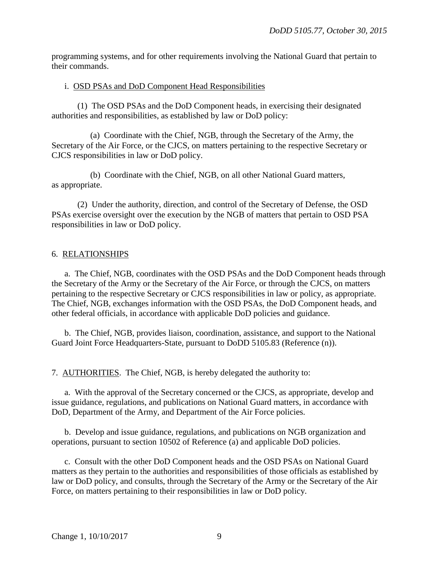programming systems, and for other requirements involving the National Guard that pertain to their commands.

#### i. OSD PSAs and DoD Component Head Responsibilities

 (1) The OSD PSAs and the DoD Component heads, in exercising their designated authorities and responsibilities, as established by law or DoD policy:

 (a) Coordinate with the Chief, NGB, through the Secretary of the Army, the Secretary of the Air Force, or the CJCS, on matters pertaining to the respective Secretary or CJCS responsibilities in law or DoD policy.

 (b) Coordinate with the Chief, NGB, on all other National Guard matters, as appropriate.

 (2) Under the authority, direction, and control of the Secretary of Defense, the OSD PSAs exercise oversight over the execution by the NGB of matters that pertain to OSD PSA responsibilities in law or DoD policy.

# 6. RELATIONSHIPS

 a. The Chief, NGB, coordinates with the OSD PSAs and the DoD Component heads through the Secretary of the Army or the Secretary of the Air Force, or through the CJCS, on matters pertaining to the respective Secretary or CJCS responsibilities in law or policy, as appropriate. The Chief, NGB, exchanges information with the OSD PSAs, the DoD Component heads, and other federal officials, in accordance with applicable DoD policies and guidance.

 b. The Chief, NGB, provides liaison, coordination, assistance, and support to the National Guard Joint Force Headquarters-State, pursuant to DoDD 5105.83 (Reference (n)).

7. AUTHORITIES. The Chief, NGB, is hereby delegated the authority to:

a. With the approval of the Secretary concerned or the CJCS, as appropriate, develop and issue guidance, regulations, and publications on National Guard matters, in accordance with DoD, Department of the Army, and Department of the Air Force policies.

 b. Develop and issue guidance, regulations, and publications on NGB organization and operations, pursuant to section 10502 of Reference (a) and applicable DoD policies.

 c. Consult with the other DoD Component heads and the OSD PSAs on National Guard matters as they pertain to the authorities and responsibilities of those officials as established by law or DoD policy, and consults, through the Secretary of the Army or the Secretary of the Air Force, on matters pertaining to their responsibilities in law or DoD policy.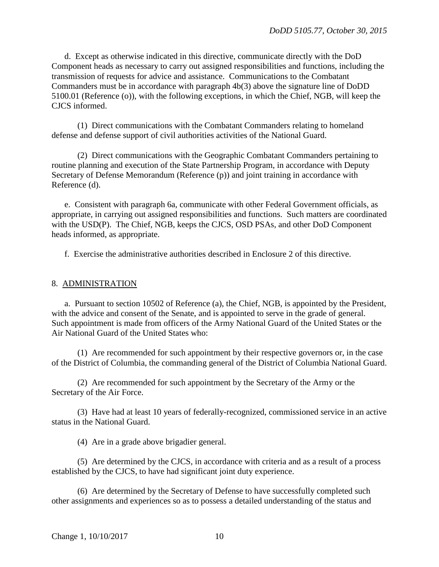d. Except as otherwise indicated in this directive, communicate directly with the DoD Component heads as necessary to carry out assigned responsibilities and functions, including the transmission of requests for advice and assistance. Communications to the Combatant Commanders must be in accordance with paragraph 4b(3) above the signature line of DoDD 5100.01 (Reference (o)), with the following exceptions, in which the Chief, NGB, will keep the CJCS informed.

 (1) Direct communications with the Combatant Commanders relating to homeland defense and defense support of civil authorities activities of the National Guard.

 (2) Direct communications with the Geographic Combatant Commanders pertaining to routine planning and execution of the State Partnership Program, in accordance with Deputy Secretary of Defense Memorandum (Reference (p)) and joint training in accordance with Reference (d).

 e. Consistent with paragraph 6a, communicate with other Federal Government officials, as appropriate, in carrying out assigned responsibilities and functions. Such matters are coordinated with the USD(P). The Chief, NGB, keeps the CJCS, OSD PSAs, and other DoD Component heads informed, as appropriate.

f. Exercise the administrative authorities described in Enclosure 2 of this directive.

#### 8. ADMINISTRATION

a. Pursuant to section 10502 of Reference (a), the Chief, NGB, is appointed by the President, with the advice and consent of the Senate, and is appointed to serve in the grade of general. Such appointment is made from officers of the Army National Guard of the United States or the Air National Guard of the United States who:

 (1) Are recommended for such appointment by their respective governors or, in the case of the District of Columbia, the commanding general of the District of Columbia National Guard.

 (2) Are recommended for such appointment by the Secretary of the Army or the Secretary of the Air Force.

 (3) Have had at least 10 years of federally-recognized, commissioned service in an active status in the National Guard.

(4) Are in a grade above brigadier general.

 (5) Are determined by the CJCS, in accordance with criteria and as a result of a process established by the CJCS, to have had significant joint duty experience.

 (6) Are determined by the Secretary of Defense to have successfully completed such other assignments and experiences so as to possess a detailed understanding of the status and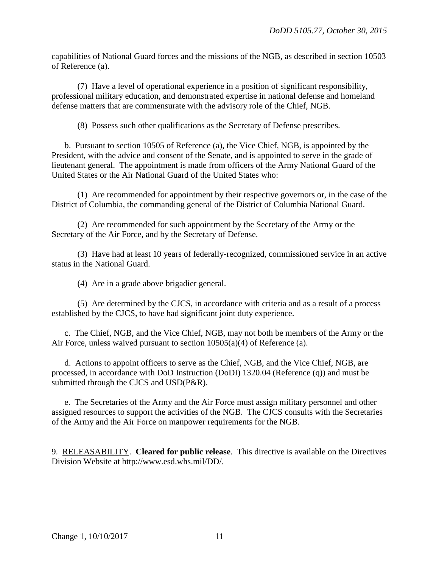capabilities of National Guard forces and the missions of the NGB, as described in section 10503 of Reference (a).

 (7) Have a level of operational experience in a position of significant responsibility, professional military education, and demonstrated expertise in national defense and homeland defense matters that are commensurate with the advisory role of the Chief, NGB.

(8) Possess such other qualifications as the Secretary of Defense prescribes.

 b. Pursuant to section 10505 of Reference (a), the Vice Chief, NGB, is appointed by the President, with the advice and consent of the Senate, and is appointed to serve in the grade of lieutenant general. The appointment is made from officers of the Army National Guard of the United States or the Air National Guard of the United States who:

 (1) Are recommended for appointment by their respective governors or, in the case of the District of Columbia, the commanding general of the District of Columbia National Guard.

 (2) Are recommended for such appointment by the Secretary of the Army or the Secretary of the Air Force, and by the Secretary of Defense.

 (3) Have had at least 10 years of federally-recognized, commissioned service in an active status in the National Guard.

(4) Are in a grade above brigadier general.

 (5) Are determined by the CJCS, in accordance with criteria and as a result of a process established by the CJCS, to have had significant joint duty experience.

c. The Chief, NGB, and the Vice Chief, NGB, may not both be members of the Army or the Air Force, unless waived pursuant to section 10505(a)(4) of Reference (a).

 d. Actions to appoint officers to serve as the Chief, NGB, and the Vice Chief, NGB, are processed, in accordance with DoD Instruction (DoDI) 1320.04 (Reference (q)) and must be submitted through the CJCS and USD(P&R).

 e. The Secretaries of the Army and the Air Force must assign military personnel and other assigned resources to support the activities of the NGB. The CJCS consults with the Secretaries of the Army and the Air Force on manpower requirements for the NGB.

9. RELEASABILITY. **Cleared for public release**. This directive is available on the Directives Division Website at http://www.esd.whs.mil/DD/.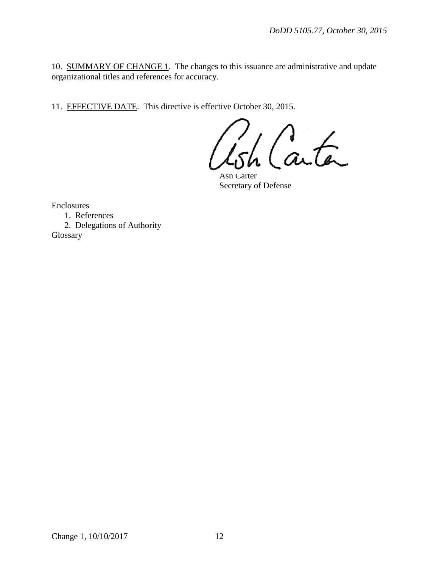10. SUMMARY OF CHANGE 1. The changes to this issuance are administrative and update organizational titles and references for accuracy.

11. EFFECTIVE DATE. This directive is effective October 30, 2015.

h Carta

Ash Carter Secretary of Defense

Enclosures

1. References

 2. Delegations of Authority Glossary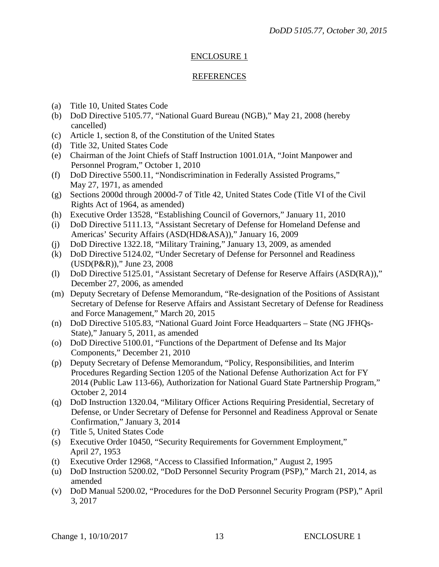# ENCLOSURE 1

# REFERENCES

- (a) Title 10, United States Code
- (b) DoD Directive 5105.77, "National Guard Bureau (NGB)," May 21, 2008 (hereby cancelled)
- (c) Article 1, section 8, of the Constitution of the United States
- (d) Title 32, United States Code
- (e) Chairman of the Joint Chiefs of Staff Instruction 1001.01A, "Joint Manpower and Personnel Program," October 1, 2010
- (f) DoD Directive 5500.11, "Nondiscrimination in Federally Assisted Programs," May 27, 1971, as amended
- (g) Sections 2000d through 2000d-7 of Title 42, United States Code (Title VI of the Civil Rights Act of 1964, as amended)
- (h) Executive Order 13528, "Establishing Council of Governors," January 11, 2010
- (i) DoD Directive 5111.13, "Assistant Secretary of Defense for Homeland Defense and Americas' Security Affairs (ASD(HD&ASA))," January 16, 2009
- (j) DoD Directive 1322.18, "Military Training," January 13, 2009, as amended
- (k) DoD Directive 5124.02, "Under Secretary of Defense for Personnel and Readiness (USD(P&R))," June 23, 2008
- (l) DoD Directive 5125.01, "Assistant Secretary of Defense for Reserve Affairs (ASD(RA))," December 27, 2006, as amended
- (m) Deputy Secretary of Defense Memorandum, "Re-designation of the Positions of Assistant Secretary of Defense for Reserve Affairs and Assistant Secretary of Defense for Readiness and Force Management," March 20, 2015
- (n) DoD Directive 5105.83, "National Guard Joint Force Headquarters State (NG JFHQs-State)," January 5, 2011, as amended
- (o) DoD Directive 5100.01, "Functions of the Department of Defense and Its Major Components," December 21, 2010
- (p) Deputy Secretary of Defense Memorandum, "Policy, Responsibilities, and Interim Procedures Regarding Section 1205 of the National Defense Authorization Act for FY 2014 (Public Law 113-66), Authorization for National Guard State Partnership Program," October 2, 2014
- (q) DoD Instruction 1320.04, "Military Officer Actions Requiring Presidential, Secretary of Defense, or Under Secretary of Defense for Personnel and Readiness Approval or Senate Confirmation," January 3, 2014
- (r) Title 5, United States Code
- (s) Executive Order 10450, "Security Requirements for Government Employment," April 27, 1953
- (t) Executive Order 12968, "Access to Classified Information," August 2, 1995
- (u) DoD Instruction 5200.02, "DoD Personnel Security Program (PSP)," March 21, 2014, as amended
- (v) DoD Manual 5200.02, "Procedures for the DoD Personnel Security Program (PSP)," April 3, 2017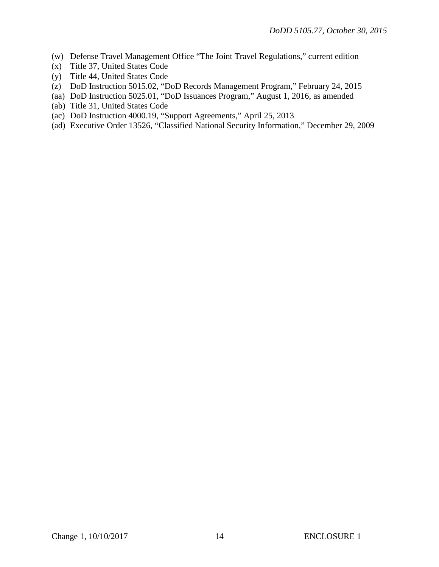- (w) Defense Travel Management Office "The Joint Travel Regulations," current edition
- (x) Title 37, United States Code
- (y) Title 44, United States Code
- (z) DoD Instruction 5015.02, "DoD Records Management Program," February 24, 2015
- (aa) DoD Instruction 5025.01, "DoD Issuances Program," August 1, 2016, as amended
- (ab) Title 31, United States Code
- (ac) DoD Instruction 4000.19, "Support Agreements," April 25, 2013
- (ad) Executive Order 13526, "Classified National Security Information," December 29, 2009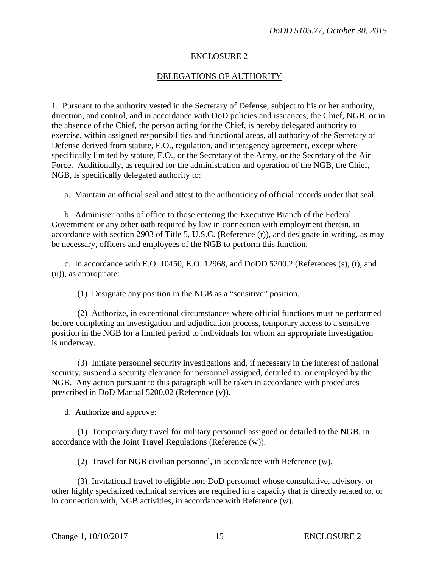## ENCLOSURE 2

## DELEGATIONS OF AUTHORITY

1. Pursuant to the authority vested in the Secretary of Defense, subject to his or her authority, direction, and control, and in accordance with DoD policies and issuances, the Chief, NGB, or in the absence of the Chief, the person acting for the Chief, is hereby delegated authority to exercise, within assigned responsibilities and functional areas, all authority of the Secretary of Defense derived from statute, E.O., regulation, and interagency agreement, except where specifically limited by statute, E.O., or the Secretary of the Army, or the Secretary of the Air Force. Additionally, as required for the administration and operation of the NGB, the Chief, NGB, is specifically delegated authority to:

a. Maintain an official seal and attest to the authenticity of official records under that seal.

 b. Administer oaths of office to those entering the Executive Branch of the Federal Government or any other oath required by law in connection with employment therein, in accordance with section 2903 of Title 5, U.S.C. (Reference (r)), and designate in writing, as may be necessary, officers and employees of the NGB to perform this function.

 c. In accordance with E.O. 10450, E.O. 12968, and DoDD 5200.2 (References (s), (t), and (u)), as appropriate:

(1) Designate any position in the NGB as a "sensitive" position.

 (2) Authorize, in exceptional circumstances where official functions must be performed before completing an investigation and adjudication process, temporary access to a sensitive position in the NGB for a limited period to individuals for whom an appropriate investigation is underway.

 (3) Initiate personnel security investigations and, if necessary in the interest of national security, suspend a security clearance for personnel assigned, detailed to, or employed by the NGB. Any action pursuant to this paragraph will be taken in accordance with procedures prescribed in DoD Manual 5200.02 (Reference (v)).

d. Authorize and approve:

 (1) Temporary duty travel for military personnel assigned or detailed to the NGB, in accordance with the Joint Travel Regulations (Reference (w)).

(2) Travel for NGB civilian personnel, in accordance with Reference (w).

 (3) Invitational travel to eligible non-DoD personnel whose consultative, advisory, or other highly specialized technical services are required in a capacity that is directly related to, or in connection with, NGB activities, in accordance with Reference (w).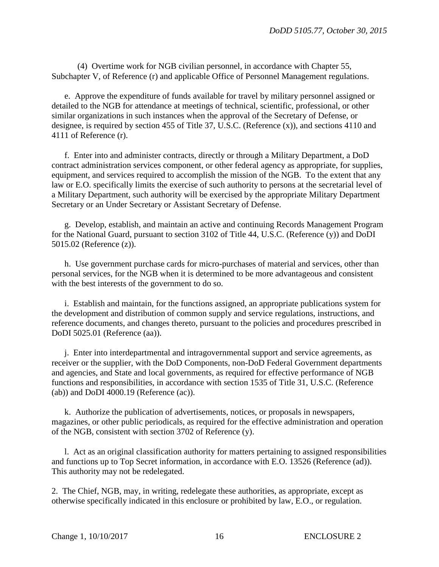(4) Overtime work for NGB civilian personnel, in accordance with Chapter 55, Subchapter V, of Reference (r) and applicable Office of Personnel Management regulations.

 e. Approve the expenditure of funds available for travel by military personnel assigned or detailed to the NGB for attendance at meetings of technical, scientific, professional, or other similar organizations in such instances when the approval of the Secretary of Defense, or designee, is required by section 455 of Title 37, U.S.C. (Reference (x)), and sections 4110 and 4111 of Reference (r).

 f. Enter into and administer contracts, directly or through a Military Department, a DoD contract administration services component, or other federal agency as appropriate, for supplies, equipment, and services required to accomplish the mission of the NGB. To the extent that any law or E.O. specifically limits the exercise of such authority to persons at the secretarial level of a Military Department, such authority will be exercised by the appropriate Military Department Secretary or an Under Secretary or Assistant Secretary of Defense.

 g. Develop, establish, and maintain an active and continuing Records Management Program for the National Guard, pursuant to section 3102 of Title 44, U.S.C. (Reference (y)) and DoDI 5015.02 (Reference (z)).

 h. Use government purchase cards for micro-purchases of material and services, other than personal services, for the NGB when it is determined to be more advantageous and consistent with the best interests of the government to do so.

 i. Establish and maintain, for the functions assigned, an appropriate publications system for the development and distribution of common supply and service regulations, instructions, and reference documents, and changes thereto, pursuant to the policies and procedures prescribed in DoDI 5025.01 (Reference (aa)).

 j. Enter into interdepartmental and intragovernmental support and service agreements, as receiver or the supplier, with the DoD Components, non-DoD Federal Government departments and agencies, and State and local governments, as required for effective performance of NGB functions and responsibilities, in accordance with section 1535 of Title 31, U.S.C. (Reference (ab)) and DoDI 4000.19 (Reference (ac)).

 k. Authorize the publication of advertisements, notices, or proposals in newspapers, magazines, or other public periodicals, as required for the effective administration and operation of the NGB, consistent with section 3702 of Reference (y).

 l. Act as an original classification authority for matters pertaining to assigned responsibilities and functions up to Top Secret information, in accordance with E.O. 13526 (Reference (ad)). This authority may not be redelegated.

2. The Chief, NGB, may, in writing, redelegate these authorities, as appropriate, except as otherwise specifically indicated in this enclosure or prohibited by law, E.O., or regulation.